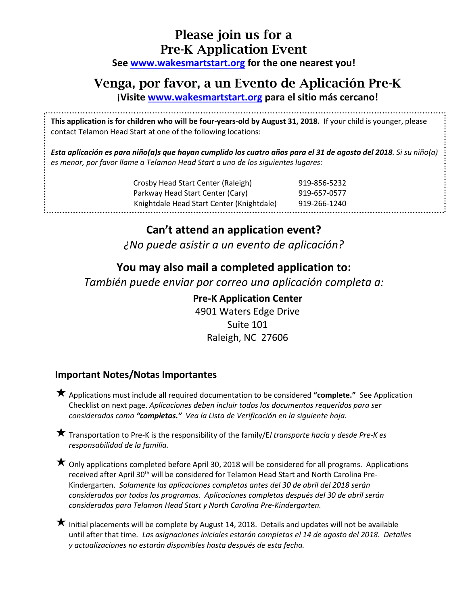## **Please join us for a Pre-K Application Event**

**See [www.wakesmartstart.org](http://www.wakesmartstart.org/) for the one nearest you!**

## **Venga, por favor, a un Evento de Aplicación Pre-K**

**¡Visite [www.wakesmartstart.org](http://www.wakesmartstart.org/) para el sitio más cercano!**

**This application is for children who will be four-years-old by August 31, 2018.** If your child is younger, please contact Telamon Head Start at one of the following locations:

*Esta aplicación es para niño(a)s que hayan cumplido los cuatro años para el 31 de agosto del 2018. Si su niño(a) es menor, por favor llame a Telamon Head Start a uno de los siguientes lugares:*

| Crosby Head Start Center (Raleigh)        | 919-856-5232 |
|-------------------------------------------|--------------|
| Parkway Head Start Center (Cary)          | 919-657-0577 |
| Knightdale Head Start Center (Knightdale) | 919-266-1240 |
|                                           |              |

........................

**Can't attend an application event?** *¿No puede asistir a un evento de aplicación?*

## **You may also mail a completed application to:**

*También puede enviar por correo una aplicación completa a:*

**Pre-K Application Center** 4901 Waters Edge Drive Suite 101 Raleigh, NC 27606

### **Important Notes/Notas Importantes**

..........................

Applications must include all required documentation to be considered **"complete."** See Application Checklist on next page. *Aplicaciones deben incluir todos los documentos requeridos para ser consideradas como "completas." Vea la Lista de Verificación en la siguiente hoja.*

Transportation to Pre-K is the responsibility of the family/E*l transporte hacia y desde Pre-K es responsabilidad de la familia.*

 $\bigstar$  Only applications completed before April 30, 2018 will be considered for all programs. Applications received after April 30<sup>th</sup> will be considered for Telamon Head Start and North Carolina Pre-Kindergarten. *Solamente las aplicaciones completas antes del 30 de abril del 2018 serán consideradas por todos los programas. Aplicaciones completas después del 30 de abril serán consideradas para Telamon Head Start y North Carolina Pre-Kindergarten.*

 $\bigstar$  Initial placements will be complete by August 14, 2018. Details and updates will not be available until after that time*. Las asignaciones iniciales estarán completas el 14 de agosto del 2018. Detalles y actualizaciones no estarán disponibles hasta después de esta fecha.*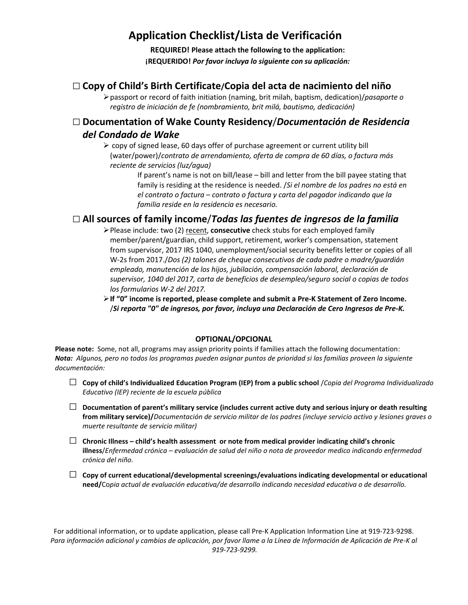## **Application Checklist/Lista de Verificación**

**REQUIRED! Please attach the following to the application: ¡REQUERIDO!** *Por favor incluya lo siguiente con su aplicación:*

### □**Copy of Child's Birth Certificate/Copia del acta de nacimiento del niño**

passport or record of faith initiation (naming, brit milah, baptism, dedication)/*pasaporte o registro de iniciación de fe (nombramiento, brit milá, bautismo, dedicación)*

### □ **Documentation of Wake County Residency**/*Documentación de Residencia del Condado de Wake*

 $\geq$  copy of signed lease, 60 days offer of purchase agreement or current utility bill (water/power)/*contrato de arrendamiento, oferta de compra de 60 días, o factura más reciente de servicios (luz/agua)*

> If parent's name is not on bill/lease – bill and letter from the bill payee stating that family is residing at the residence is needed. /*Si el nombre de los padres no está en el contrato o factura – contrato o factura y carta del pagador indicando que la familia reside en la residencia es necesario.*

### □ **All sources of family income**/*Todas las fuentes de ingresos de la familia*

Please include: two (2) recent, **consecutive** check stubs for each employed family member/parent/guardian, child support, retirement, worker's compensation, statement from supervisor, 2017 IRS 1040, unemployment/social security benefits letter or copies of all W-2s from 2017./*Dos (2) talones de cheque consecutivos de cada padre o madre/guardián empleado, manutención de los hijos, jubilación, compensación laboral, declaración de supervisor, 1040 del 2017, carta de beneficios de desempleo/seguro social o copias de todos los formularios W-2 del 2017.*

**If "0" income is reported, please complete and submit a Pre-K Statement of Zero Income.** /*Si reporta "0" de ingresos, por favor, incluya una Declaración de Cero Ingresos de Pre-K.* 

#### **OPTIONAL/OPCIONAL**

**Please note:** Some, not all, programs may assign priority points if families attach the following documentation: *Nota: Algunos, pero no todos los programas pueden asignar puntos de prioridad si las familias proveen la siguiente documentación:*

- □ **Copy of child's Individualized Education Program (IEP) from a public school** /*Copia del Programa Individualizado Educativo (IEP) reciente de la escuela pública*
- □ **Documentation of parent's military service (includes current active duty and serious injury or death resulting from military service)/***Documentación de servicio militar de los padres (incluye servicio activo y lesiones graves o muerte resultante de servicio militar)*
- □ **Chronic Illness – child's health assessment or note from medical provider indicating child's chronic illness**/*Enfermedad crónica – evaluación de salud del niño o nota de proveedor medico indicando enfermedad crónica del niño.*
- □ **Copy of current educational/developmental screenings/evaluations indicating developmental or educational need/**Co*pia actual de evaluación educativa/de desarrollo indicando necesidad educativa o de desarrollo.*

For additional information, or to update application, please call Pre-K Application Information Line at 919-723-9298. *Para información adicional y cambios de aplicación, por favor llame a la Línea de Información de Aplicación de Pre-K al 919-723-9299.*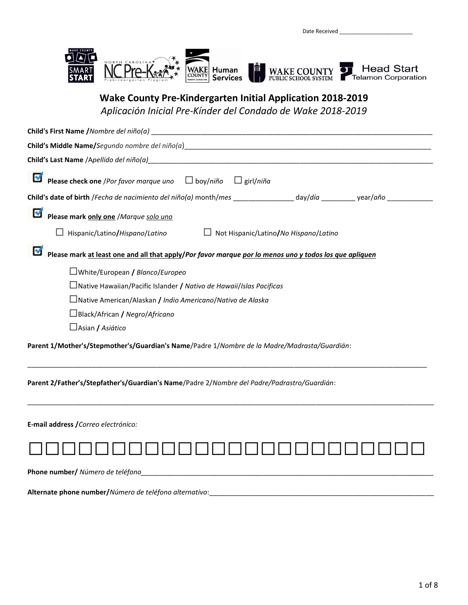

### **Wake County Pre-Kindergarten Initial Application 2018-2019**

*Aplicación Inicial Pre-Kínder del Condado de Wake 2018-2019*

| Child's First Name / Nombre del niño(a)                                                                        |
|----------------------------------------------------------------------------------------------------------------|
|                                                                                                                |
|                                                                                                                |
| K<br>Please check one /Por favor marque uno $\Box$ boy/niño<br>$\Box$ girl/niña                                |
| Child's date of birth /Fecha de nacimiento del niño(a) month/mes ________________ day/día _________ year/año _ |
| M<br>Please mark only one /Marque solo uno                                                                     |
| Not Hispanic/Latino/No Hispano/Latino<br>$\Box$ Hispanic/Latino/Hispano/Latino<br>$\Box$                       |
| M<br>Please mark at least one and all that apply/Por favor marque por lo menos uno y todos los que apliquen    |
| □White/European / Blanco/Europeo                                                                               |
| $\Box$ Native Hawaiian/Pacific Islander / Nativo de Hawaii/Islas Pacificas                                     |
| $\Box$ Native American/Alaskan / Indio Americano/Nativo de Alaska                                              |
| □Black/African / Negro/Africano                                                                                |
| □ Asian / Asiático                                                                                             |
| Parent 1/Mother's/Stepmother's/Guardian's Name/Padre 1/Nombre de la Madre/Madrasta/Guardián:                   |
| Parent 2/Father's/Stepfather's/Guardian's Name/Padre 2/Nombre del Padre/Padrastro/Guardián:                    |
| E-mail address / Correo electrónico:                                                                           |
|                                                                                                                |
| Phone number/ Número de teléfono                                                                               |
| Alternate phone number/Número de teléfono alternativo:                                                         |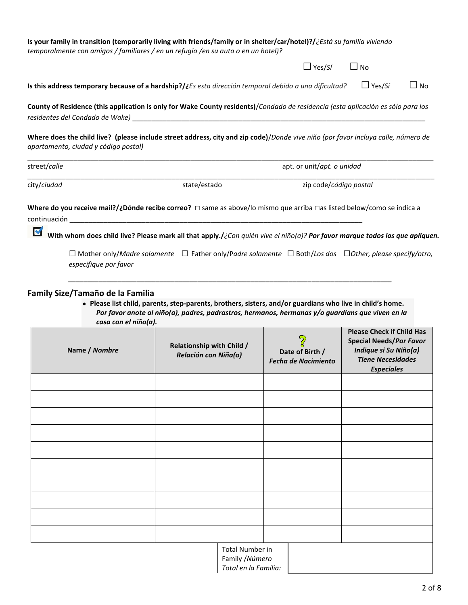|              | Is your family in transition (temporarily living with friends/family or in shelter/car/hotel)?/¿Está su familia viviendo<br>temporalmente con amigos / familiares / en un refugio / en su auto o en un hotel)?                                                   |              |                            |               |           |
|--------------|------------------------------------------------------------------------------------------------------------------------------------------------------------------------------------------------------------------------------------------------------------------|--------------|----------------------------|---------------|-----------|
|              |                                                                                                                                                                                                                                                                  |              | $\Box$ Yes/Sí              | $\Box$ No     |           |
|              | Is this address temporary because of a hardship?/¿Es esta dirección temporal debido a una dificultad?                                                                                                                                                            |              |                            | $\Box$ Yes/Sí | $\Box$ No |
|              | County of Residence (this application is only for Wake County residents)/Condado de residencia (esta aplicación es sólo para los                                                                                                                                 |              |                            |               |           |
|              | Where does the child live? (please include street address, city and zip code)/Donde vive niño (por favor incluya calle, número de<br>apartamento, ciudad y código postal)                                                                                        |              |                            |               |           |
| street/calle |                                                                                                                                                                                                                                                                  |              | apt. or unit/apt. o unidad |               |           |
| city/ciudad  |                                                                                                                                                                                                                                                                  | state/estado | zip code/código postal     |               |           |
|              | Where do you receive mail?/¿Dónde recibe correo? $\Box$ same as above/lo mismo que arriba $\Box$ as listed below/como se indica a<br>With whom does child live? Please mark all that apply./¿Con quién vive el niño(a)? Por favor marque todos los que apliquen. |              |                            |               |           |
|              | $\Box$ Mother only/Madre solamente $\Box$ Father only/Padre solamente $\Box$ Both/Los dos $\Box$ Other, please specify/otro,<br>especifique por favor                                                                                                            |              |                            |               |           |
|              | Family Size/Tamaño de la Familia                                                                                                                                                                                                                                 |              |                            |               |           |

**•** Please list child, parents, step-parents, brothers, sisters, and/or guardians who live in child's home. *Por favor anote al niño(a), padres, padrastros, hermanos, hermanas y/o guardians que viven en la casa con el niño(a).*

| Name / Nombre | <b>Relationship with Child /</b><br>Relación con Niña(o)          | ၇<br>Date of Birth /<br><b>Fecha de Nacimiento</b> | <b>Please Check if Child Has</b><br><b>Special Needs/Por Favor</b><br>Indique si Su Niño(a)<br><b>Tiene Necesidades</b><br><b>Especiales</b> |
|---------------|-------------------------------------------------------------------|----------------------------------------------------|----------------------------------------------------------------------------------------------------------------------------------------------|
|               |                                                                   |                                                    |                                                                                                                                              |
|               |                                                                   |                                                    |                                                                                                                                              |
|               |                                                                   |                                                    |                                                                                                                                              |
|               |                                                                   |                                                    |                                                                                                                                              |
|               |                                                                   |                                                    |                                                                                                                                              |
|               |                                                                   |                                                    |                                                                                                                                              |
|               |                                                                   |                                                    |                                                                                                                                              |
|               |                                                                   |                                                    |                                                                                                                                              |
|               |                                                                   |                                                    |                                                                                                                                              |
|               |                                                                   |                                                    |                                                                                                                                              |
|               | <b>Total Number in</b><br>Family / Número<br>Total en la Familia: |                                                    |                                                                                                                                              |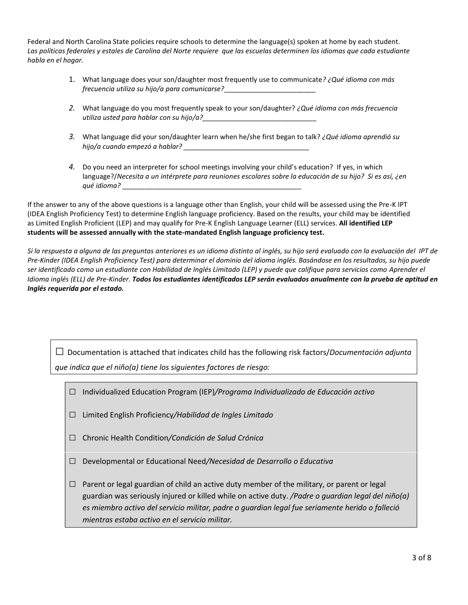Federal and North Carolina State policies require schools to determine the language(s) spoken at home by each student. *Las políticas federales y estales de Carolina del Norte requiere que las escuelas determinen los idiomas que cada estudiante habla en el hogar.* 

- 1. What language does your son/daughter most frequently use to communicate*? ¿Qué idioma con más frecuencia utiliza su hijo/a para comunicarse?*\_\_\_\_\_\_\_\_\_\_\_\_\_\_\_\_\_\_\_\_\_\_\_\_
- *2.* What language do you most frequently speak to your son/daughter? *¿Qué idioma con más frecuencia utiliza usted para hablar con su hijo/a?\_\_\_\_\_\_\_\_\_\_\_\_\_\_\_\_\_\_\_\_\_\_\_\_\_\_\_\_\_\_*
- *3.* What language did your son/daughter learn when he/she first began to talk? *¿Qué idioma aprendió su hijo/a cuando empezó a hablar? \_\_\_\_\_\_\_\_\_\_\_\_\_\_\_\_\_\_\_\_\_\_\_\_\_\_\_\_\_\_\_\_\_*
- *4.* Do you need an interpreter for school meetings involving your child's education? If yes, in which language?/*Necesita a un intérprete para reuniones escolares sobre la educación de su hijo? Si es así, ¿en qué idioma?* \_\_\_\_\_\_\_\_\_\_\_\_\_\_\_\_\_\_\_\_\_\_\_\_\_\_\_\_\_\_\_\_\_\_\_\_\_\_\_\_\_\_\_\_\_\_\_

If the answer to any of the above questions is a language other than English, your child will be assessed using the Pre-K IPT (IDEA English Proficiency Test) to determine English language proficiency. Based on the results, your child may be identified as Limited English Proficient (LEP) and may qualify for Pre-K English Language Learner (ELL) services. **All identified LEP students will be assessed annually with the state-mandated English language proficiency test.** 

*Si la respuesta a alguna de las preguntas anteriores es un idioma distinto al inglés, su hijo será evaluado con la evaluación del IPT de Pre-Kinder (IDEA English Proficiency Test) para determinar el dominio del idioma inglés. Basándose en los resultados, su hijo puede ser identificado como un estudiante con Habilidad de Inglés Limitado (LEP) y puede que califique para servicios como Aprender el Idioma inglés (ELL) de Pre-Kinder. Todos los estudiantes identificados LEP serán evaluados anualmente con la prueba de aptitud en Inglés requerida por el estado.*

□ Documentation is attached that indicates child has the following risk factors/*Documentación adjunta que indica que el niño(a) tiene los siguientes factores de riesgo:*

- □ Individualized Education Program (IEP)*/Programa Individualizado de Educación activo*
- □ Limited English Proficiency*/Habilidad de Ingles Limitado*
- □ Chronic Health Condition*/Condición de Salud Crónica*
- □ Developmental or Educational Need*/Necesidad de Desarrollo <sup>o</sup> Educativa*
- $\Box$  Parent or legal guardian of child an active duty member of the military, or parent or legal guardian was seriously injured or killed while on active duty. */Padre o guardian legal del niño(a) es miembro activo del servicio militar, padre o guardian legal fue seriamente herido o falleció mientras estaba activo en el servicio militar.*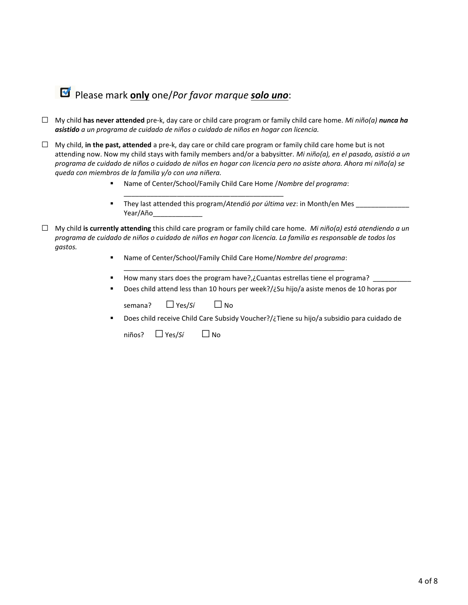## Please mark **only** one/*Por favor marque solo uno*:

- **□** My child **has never attended** pre-k, day care or child care program or family child care home. *Mi niño(a) nunca ha asistido a un programa de cuidado de niños o cuidado de niños en hogar con licencia.*
- **□** My child, **in the past, attended** a pre-k, day care or child care program or family child care home but is not attending now. Now my child stays with family members and/or a babysitter. *Mi niño(a), en el pasado, asistió a un programa de cuidado de niños o cuidado de niños en hogar con licencia pero no asiste ahora. Ahora mi niño(a) se queda con miembros de la familia y/o con una niñera.*
	- Name of Center/School/Family Child Care Home /*Nombre del programa*:

\_\_\_\_\_\_\_\_\_\_\_\_\_\_\_\_\_\_\_\_\_\_\_\_\_\_\_\_\_\_\_\_\_\_\_\_\_\_\_\_\_\_

- They last attended this program/*Atendió por última vez*: in Month/en Mes Year/Año\_\_\_\_\_\_\_\_\_\_\_\_\_
- **□** My child **is currently attending** this child care program or family child care home. *Mi niño(a) está atendiendo a un programa de cuidado de niños o cuidado de niños en hogar con licencia. La familia es responsable de todos los gastos.* 
	- Name of Center/School/Family Child Care Home/*Nombre del programa*:
	- How many stars does the program have?,¿Cuantas estrellas tiene el programa? \_\_\_\_\_\_\_\_\_\_

\_\_\_\_\_\_\_\_\_\_\_\_\_\_\_\_\_\_\_\_\_\_\_\_\_\_\_\_\_\_\_\_\_\_\_\_\_\_\_\_\_\_\_\_\_\_\_\_\_\_\_\_\_\_\_\_\_\_

■ Does child attend less than 10 hours per week?/¿Su hijo/a asiste menos de 10 horas por

| semana? | $\Box$ Yes/Sí | $\Box$ No |
|---------|---------------|-----------|
|         |               |           |

Does child receive Child Care Subsidy Voucher?/¿Tiene su hijo/a subsidio para cuidado de

niños? □Yes/*Sí* □ No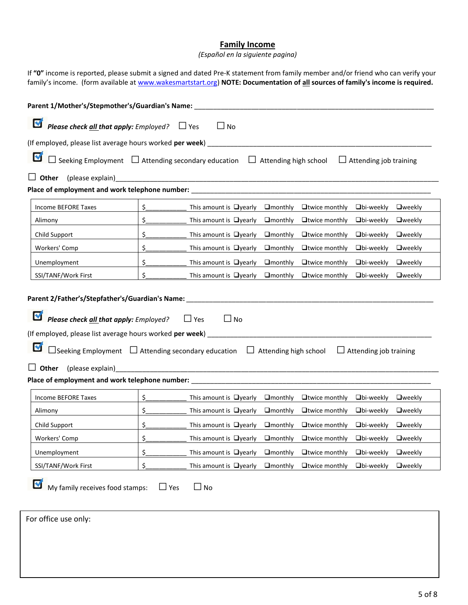#### **Family Income**

*(Español en la siguiente pagina)*

If **"0"** income is reported, please submit a signed and dated Pre-K statement from family member and/or friend who can verify your family's income. (form available a[t www.wakesmartstart.org\)](http://www.wakesmartstart.org/) **NOTE: Documentation of all sources of family's income is required.** 

| Parent 1/Mother's/Stepmother's/Guardian's Name:                                                                                      |               |                                 |                  |                      |                               |                 |
|--------------------------------------------------------------------------------------------------------------------------------------|---------------|---------------------------------|------------------|----------------------|-------------------------------|-----------------|
| M<br><b>Please check all that apply:</b> Employed? $\Box$ Yes<br>$\Box$ No                                                           |               |                                 |                  |                      |                               |                 |
| (If employed, please list average hours worked per week)                                                                             |               |                                 |                  |                      |                               |                 |
| M<br>$\Box$ Seeking Employment $\Box$ Attending secondary education $\Box$ Attending high school                                     |               |                                 |                  |                      | $\Box$ Attending job training |                 |
| $\Box$ Other<br>Place of employment and work telephone number: __________________________________                                    |               |                                 |                  |                      |                               |                 |
| Income BEFORE Taxes                                                                                                                  | \$            | This amount is $\Box$ yearly    | $L$ monthly      | $\Box$ twice monthly | $\Box$ bi-weekly              | $\sqcup$ weekly |
| Alimony                                                                                                                              | \$.           | This amount is $\Box$ yearly    | $\Box$ monthly   | $\Box$ twice monthly | $\Box$ bi-weekly              | <b>O</b> weekly |
| Child Support                                                                                                                        | \$            | This amount is $\Box$ yearly    | $\Box$ monthly   | $\Box$ twice monthly | $\Box$ bi-weekly              | <b>O</b> weekly |
| Workers' Comp                                                                                                                        | \$            | This amount is $\Box$ yearly    | $\Box$ monthly   | $\Box$ twice monthly | $\Box$ bi-weekly              | <b>O</b> weekly |
| Unemployment                                                                                                                         | \$            | This amount is $\Box$ yearly    | $\Box$ monthly   | $\Box$ twice monthly | $\Box$ bi-weekly              | <b>Oweekly</b>  |
| SSI/TANF/Work First                                                                                                                  | Ś.            | This amount is $\Box$ yearly    | $\Box$ monthly   | $\Box$ twice monthly | $\Box$ bi-weekly              | $\sqcup$ weekly |
| M<br>$\Box$ Seeking Employment $\Box$ Attending secondary education $\Box$ Attending high school<br>(please explain)<br>$\Box$ Other |               |                                 |                  |                      | $\Box$ Attending job training |                 |
| Income BEFORE Taxes                                                                                                                  | \$            | This amount is $\Box$ yearly    | $\Box$ monthly   | $\Box$ twice monthly | $\Box$ bi-weekly              | $\sqcup$ weekly |
| Alimony                                                                                                                              | \$_           | This amount is $\Box$ yearly    | $\Box$ monthly   | $\Box$ twice monthly | $\Box$ bi-weekly              | <b>O</b> weekly |
| Child Support                                                                                                                        | \$            | This amount is $\Box$ yearly    | $L$ monthly      | $\Box$ twice monthly | $\Box$ bi-weekly              | $\sqcup$ weekly |
| Workers' Comp                                                                                                                        | \$            | This amount is $\bigcup$ yearly | $\sqcup$ monthly | $\Box$ twice monthly | $\Box$ bi-weekly              | $\sqcup$ weekly |
| Unemployment                                                                                                                         | \$            | This amount is $\Box$ yearly    | $\Box$ monthly   | $\Box$ twice monthly | $\Box$ bi-weekly              | $\sqcup$ weekly |
| SSI/TANF/Work First                                                                                                                  | \$.           | This amount is $\Box$ yearly    | $\Box$ monthly   | $\Box$ twice monthly | $\Box$ bi-weekly              | <b>Oweekly</b>  |
| M<br>My family receives food stamps:<br>For office use only:                                                                         | $\square$ Yes | $\Box$ No                       |                  |                      |                               |                 |
|                                                                                                                                      |               |                                 |                  |                      |                               |                 |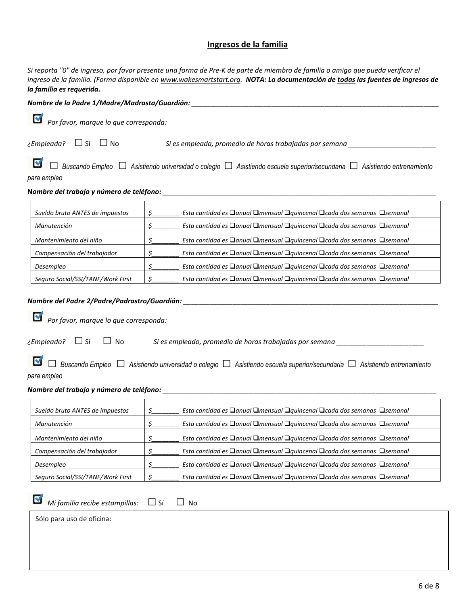#### **Ingresos de la familia**

*Si reporta "0" de ingreso, por favor presente una forma de Pre-K de parte de miembro de familia o amigo que pueda verificar el ingreso de la familia. (Forma disponible en [www.wakesmartstart.org.](http://www.wakesmartstart.org/) NOTA: La documentación de todas las fuentes de ingresos de la familia es requerida.* 

| Nombre de la Padre 1/Madre/Madrasta/Guardián:<br>M<br>Por favor, marque lo que corresponda:<br>$\zeta$ Empleada? $\Box$ Sí $\Box$ No<br>Si es empleada, promedio de horas trabajadas por semana ______________<br>para empleo<br>\$<br>Esta cantidad es Danual Dmensual Dquincenal Dcada dos semanas Dsemanal<br>Sueldo bruto ANTES de impuestos<br>\$<br>Esta cantidad es Danual Dmensual Dquincenal Dcada dos semanas Dsemanal<br>Manutención<br>\$<br>Esta cantidad es □anual □mensual □quincenal □cada dos semanas □semanal<br>Mantenimiento del niño<br>\$<br>Esta cantidad es □ anual □ mensual □ quincenal □ cada dos semanas □ semanal<br>Compensación del trabajador<br>\$_<br>Esta cantidad es □ anual □ mensual □ quincenal □ cada dos semanas □ semanal<br>Desempleo<br>\$<br>Esta cantidad es □ anual □ mensual □ quincenal □ cada dos semanas □ semanal<br>Seguro Social/SSI/TANF/Work First<br>Por favor, marque lo que corresponda:<br>M<br>$\zeta$<br>Esta cantidad es □anual □mensual □quincenal □cada dos semanas □semanal<br>Sueldo bruto ANTES de impuestos<br>\$<br>Esta cantidad es □ anual □ mensual □ quincenal □ cada dos semanas □ semanal<br>Manutención<br>\$<br>Mantenimiento del niño<br>Esta cantidad es □ anual □ mensual □ quincenal □ cada dos semanas □ semanal<br>\$<br>Esta cantidad es □anual □mensual □quincenal □cada dos semanas □semanal<br>Compensación del trabajador<br>\$<br>Esta cantidad es □anual □mensual □quincenal □cada dos semanas □semanal<br>Desempleo<br>\$<br>Seguro Social/SSI/TANF/Work First<br>Esta cantidad es Danual Dmensual Dquincenal Dcada dos semanas Dsemanal<br>M<br>Mi familia recibe estampillas:<br>$\Box$ Sí<br>No | Buscando Empleo □ Asistiendo universidad o colegio □ Asistiendo escuela superior/secundaria □ Asistiendo entrenamiento<br>Buscando Empleo $\Box$ Asistiendo universidad o colegio $\Box$ Asistiendo escuela superior/secundaria $\Box$ Asistiendo entrenamiento<br>Sólo para uso de oficina: | a januna co regaeria |  |
|------------------------------------------------------------------------------------------------------------------------------------------------------------------------------------------------------------------------------------------------------------------------------------------------------------------------------------------------------------------------------------------------------------------------------------------------------------------------------------------------------------------------------------------------------------------------------------------------------------------------------------------------------------------------------------------------------------------------------------------------------------------------------------------------------------------------------------------------------------------------------------------------------------------------------------------------------------------------------------------------------------------------------------------------------------------------------------------------------------------------------------------------------------------------------------------------------------------------------------------------------------------------------------------------------------------------------------------------------------------------------------------------------------------------------------------------------------------------------------------------------------------------------------------------------------------------------------------------------------------------------------------------------------------------------------------------|----------------------------------------------------------------------------------------------------------------------------------------------------------------------------------------------------------------------------------------------------------------------------------------------|----------------------|--|
|                                                                                                                                                                                                                                                                                                                                                                                                                                                                                                                                                                                                                                                                                                                                                                                                                                                                                                                                                                                                                                                                                                                                                                                                                                                                                                                                                                                                                                                                                                                                                                                                                                                                                                |                                                                                                                                                                                                                                                                                              |                      |  |
|                                                                                                                                                                                                                                                                                                                                                                                                                                                                                                                                                                                                                                                                                                                                                                                                                                                                                                                                                                                                                                                                                                                                                                                                                                                                                                                                                                                                                                                                                                                                                                                                                                                                                                |                                                                                                                                                                                                                                                                                              |                      |  |
|                                                                                                                                                                                                                                                                                                                                                                                                                                                                                                                                                                                                                                                                                                                                                                                                                                                                                                                                                                                                                                                                                                                                                                                                                                                                                                                                                                                                                                                                                                                                                                                                                                                                                                |                                                                                                                                                                                                                                                                                              |                      |  |
|                                                                                                                                                                                                                                                                                                                                                                                                                                                                                                                                                                                                                                                                                                                                                                                                                                                                                                                                                                                                                                                                                                                                                                                                                                                                                                                                                                                                                                                                                                                                                                                                                                                                                                |                                                                                                                                                                                                                                                                                              |                      |  |
|                                                                                                                                                                                                                                                                                                                                                                                                                                                                                                                                                                                                                                                                                                                                                                                                                                                                                                                                                                                                                                                                                                                                                                                                                                                                                                                                                                                                                                                                                                                                                                                                                                                                                                |                                                                                                                                                                                                                                                                                              |                      |  |
|                                                                                                                                                                                                                                                                                                                                                                                                                                                                                                                                                                                                                                                                                                                                                                                                                                                                                                                                                                                                                                                                                                                                                                                                                                                                                                                                                                                                                                                                                                                                                                                                                                                                                                |                                                                                                                                                                                                                                                                                              |                      |  |
|                                                                                                                                                                                                                                                                                                                                                                                                                                                                                                                                                                                                                                                                                                                                                                                                                                                                                                                                                                                                                                                                                                                                                                                                                                                                                                                                                                                                                                                                                                                                                                                                                                                                                                |                                                                                                                                                                                                                                                                                              |                      |  |
|                                                                                                                                                                                                                                                                                                                                                                                                                                                                                                                                                                                                                                                                                                                                                                                                                                                                                                                                                                                                                                                                                                                                                                                                                                                                                                                                                                                                                                                                                                                                                                                                                                                                                                |                                                                                                                                                                                                                                                                                              |                      |  |
|                                                                                                                                                                                                                                                                                                                                                                                                                                                                                                                                                                                                                                                                                                                                                                                                                                                                                                                                                                                                                                                                                                                                                                                                                                                                                                                                                                                                                                                                                                                                                                                                                                                                                                |                                                                                                                                                                                                                                                                                              |                      |  |
| $\epsilon$ Empleado? $\Box$ Sí<br>para empleo                                                                                                                                                                                                                                                                                                                                                                                                                                                                                                                                                                                                                                                                                                                                                                                                                                                                                                                                                                                                                                                                                                                                                                                                                                                                                                                                                                                                                                                                                                                                                                                                                                                  |                                                                                                                                                                                                                                                                                              |                      |  |
|                                                                                                                                                                                                                                                                                                                                                                                                                                                                                                                                                                                                                                                                                                                                                                                                                                                                                                                                                                                                                                                                                                                                                                                                                                                                                                                                                                                                                                                                                                                                                                                                                                                                                                |                                                                                                                                                                                                                                                                                              |                      |  |
|                                                                                                                                                                                                                                                                                                                                                                                                                                                                                                                                                                                                                                                                                                                                                                                                                                                                                                                                                                                                                                                                                                                                                                                                                                                                                                                                                                                                                                                                                                                                                                                                                                                                                                |                                                                                                                                                                                                                                                                                              |                      |  |
|                                                                                                                                                                                                                                                                                                                                                                                                                                                                                                                                                                                                                                                                                                                                                                                                                                                                                                                                                                                                                                                                                                                                                                                                                                                                                                                                                                                                                                                                                                                                                                                                                                                                                                |                                                                                                                                                                                                                                                                                              |                      |  |
|                                                                                                                                                                                                                                                                                                                                                                                                                                                                                                                                                                                                                                                                                                                                                                                                                                                                                                                                                                                                                                                                                                                                                                                                                                                                                                                                                                                                                                                                                                                                                                                                                                                                                                |                                                                                                                                                                                                                                                                                              |                      |  |
|                                                                                                                                                                                                                                                                                                                                                                                                                                                                                                                                                                                                                                                                                                                                                                                                                                                                                                                                                                                                                                                                                                                                                                                                                                                                                                                                                                                                                                                                                                                                                                                                                                                                                                |                                                                                                                                                                                                                                                                                              |                      |  |
|                                                                                                                                                                                                                                                                                                                                                                                                                                                                                                                                                                                                                                                                                                                                                                                                                                                                                                                                                                                                                                                                                                                                                                                                                                                                                                                                                                                                                                                                                                                                                                                                                                                                                                |                                                                                                                                                                                                                                                                                              |                      |  |
|                                                                                                                                                                                                                                                                                                                                                                                                                                                                                                                                                                                                                                                                                                                                                                                                                                                                                                                                                                                                                                                                                                                                                                                                                                                                                                                                                                                                                                                                                                                                                                                                                                                                                                |                                                                                                                                                                                                                                                                                              |                      |  |
|                                                                                                                                                                                                                                                                                                                                                                                                                                                                                                                                                                                                                                                                                                                                                                                                                                                                                                                                                                                                                                                                                                                                                                                                                                                                                                                                                                                                                                                                                                                                                                                                                                                                                                |                                                                                                                                                                                                                                                                                              |                      |  |
|                                                                                                                                                                                                                                                                                                                                                                                                                                                                                                                                                                                                                                                                                                                                                                                                                                                                                                                                                                                                                                                                                                                                                                                                                                                                                                                                                                                                                                                                                                                                                                                                                                                                                                |                                                                                                                                                                                                                                                                                              |                      |  |
|                                                                                                                                                                                                                                                                                                                                                                                                                                                                                                                                                                                                                                                                                                                                                                                                                                                                                                                                                                                                                                                                                                                                                                                                                                                                                                                                                                                                                                                                                                                                                                                                                                                                                                |                                                                                                                                                                                                                                                                                              |                      |  |
|                                                                                                                                                                                                                                                                                                                                                                                                                                                                                                                                                                                                                                                                                                                                                                                                                                                                                                                                                                                                                                                                                                                                                                                                                                                                                                                                                                                                                                                                                                                                                                                                                                                                                                |                                                                                                                                                                                                                                                                                              |                      |  |
|                                                                                                                                                                                                                                                                                                                                                                                                                                                                                                                                                                                                                                                                                                                                                                                                                                                                                                                                                                                                                                                                                                                                                                                                                                                                                                                                                                                                                                                                                                                                                                                                                                                                                                |                                                                                                                                                                                                                                                                                              |                      |  |
|                                                                                                                                                                                                                                                                                                                                                                                                                                                                                                                                                                                                                                                                                                                                                                                                                                                                                                                                                                                                                                                                                                                                                                                                                                                                                                                                                                                                                                                                                                                                                                                                                                                                                                |                                                                                                                                                                                                                                                                                              |                      |  |
|                                                                                                                                                                                                                                                                                                                                                                                                                                                                                                                                                                                                                                                                                                                                                                                                                                                                                                                                                                                                                                                                                                                                                                                                                                                                                                                                                                                                                                                                                                                                                                                                                                                                                                |                                                                                                                                                                                                                                                                                              |                      |  |
|                                                                                                                                                                                                                                                                                                                                                                                                                                                                                                                                                                                                                                                                                                                                                                                                                                                                                                                                                                                                                                                                                                                                                                                                                                                                                                                                                                                                                                                                                                                                                                                                                                                                                                |                                                                                                                                                                                                                                                                                              |                      |  |
|                                                                                                                                                                                                                                                                                                                                                                                                                                                                                                                                                                                                                                                                                                                                                                                                                                                                                                                                                                                                                                                                                                                                                                                                                                                                                                                                                                                                                                                                                                                                                                                                                                                                                                |                                                                                                                                                                                                                                                                                              |                      |  |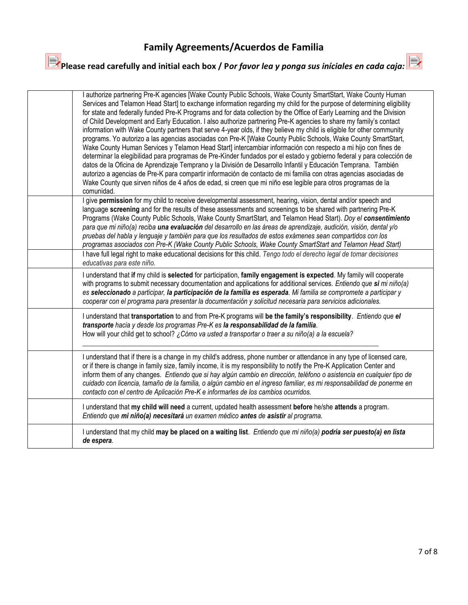## **Family Agreements/Acuerdos de Familia**

# **Please read carefully and initial each box / P***or favor lea y ponga sus iníciales en cada caja:*

| I authorize partnering Pre-K agencies [Wake County Public Schools, Wake County SmartStart, Wake County Human<br>Services and Telamon Head Start] to exchange information regarding my child for the purpose of determining eligibility<br>for state and federally funded Pre-K Programs and for data collection by the Office of Early Learning and the Division<br>of Child Development and Early Education. I also authorize partnering Pre-K agencies to share my family's contact<br>information with Wake County partners that serve 4-year olds, if they believe my child is eligible for other community<br>programs. Yo autorizo a las agencias asociadas con Pre-K [Wake County Public Schools, Wake County SmartStart,<br>Wake County Human Services y Telamon Head Start] intercambiar información con respecto a mi hijo con fines de<br>determinar la elegibilidad para programas de Pre-Kínder fundados por el estado y gobierno federal y para colección de<br>datos de la Oficina de Aprendizaje Temprano y la División de Desarrollo Infantil y Educación Temprana. También<br>autorizo a agencias de Pre-K para compartir información de contacto de mi familia con otras agencias asociadas de<br>Wake County que sirven niños de 4 años de edad, si creen que mi niño ese legible para otros programas de la<br>comunidad. |
|------------------------------------------------------------------------------------------------------------------------------------------------------------------------------------------------------------------------------------------------------------------------------------------------------------------------------------------------------------------------------------------------------------------------------------------------------------------------------------------------------------------------------------------------------------------------------------------------------------------------------------------------------------------------------------------------------------------------------------------------------------------------------------------------------------------------------------------------------------------------------------------------------------------------------------------------------------------------------------------------------------------------------------------------------------------------------------------------------------------------------------------------------------------------------------------------------------------------------------------------------------------------------------------------------------------------------------------------|
| I give permission for my child to receive developmental assessment, hearing, vision, dental and/or speech and<br>language screening and for the results of these assessments and screenings to be shared with partnering Pre-K<br>Programs (Wake County Public Schools, Wake County SmartStart, and Telamon Head Start). Doy el consentimiento<br>para que mi niño(a) reciba una evaluación del desarrollo en las áreas de aprendizaje, audición, visión, dental y/o<br>pruebas del habla y lenguaje y también para que los resultados de estos exámenes sean compartidos con los<br>programas asociados con Pre-K (Wake County Public Schools, Wake County SmartStart and Telamon Head Start)<br>I have full legal right to make educational decisions for this child. Tengo todo el derecho legal de tomar decisiones<br>educativas para este niño.                                                                                                                                                                                                                                                                                                                                                                                                                                                                                          |
| I understand that if my child is selected for participation, family engagement is expected. My family will cooperate<br>with programs to submit necessary documentation and applications for additional services. Entiendo que si mi niño(a)<br>es seleccionado a participar, la participación de la familia es esperada. Mi familia se compromete a participar y<br>cooperar con el programa para presentar la documentación y solicitud necesaria para servicios adicionales.                                                                                                                                                                                                                                                                                                                                                                                                                                                                                                                                                                                                                                                                                                                                                                                                                                                                |
| I understand that transportation to and from Pre-K programs will be the family's responsibility. Entiendo que el<br>transporte hacia y desde los programas Pre-K es la responsabilidad de la familia.<br>How will your child get to school? ¿Cómo va usted a transportar o traer a su niño(a) a la escuela?                                                                                                                                                                                                                                                                                                                                                                                                                                                                                                                                                                                                                                                                                                                                                                                                                                                                                                                                                                                                                                    |
| I understand that if there is a change in my child's address, phone number or attendance in any type of licensed care,<br>or if there is change in family size, family income, it is my responsibility to notify the Pre-K Application Center and<br>inform them of any changes. Entiendo que si hay algún cambio en dirección, teléfono o asistencia en cualquier tipo de<br>cuidado con licencia, tamaño de la familia, o algún cambio en el ingreso familiar, es mi responsabilidad de ponerme en<br>contacto con el centro de Aplicación Pre-K e informarles de los cambios ocurridos.                                                                                                                                                                                                                                                                                                                                                                                                                                                                                                                                                                                                                                                                                                                                                     |
| I understand that my child will need a current, updated health assessment before he/she attends a program.<br>Entiendo que mi niño(a) necesitará un examen médico antes de asistir al programa.                                                                                                                                                                                                                                                                                                                                                                                                                                                                                                                                                                                                                                                                                                                                                                                                                                                                                                                                                                                                                                                                                                                                                |
| I understand that my child may be placed on a waiting list. Entiendo que mi niño(a) podría ser puesto(a) en lista<br>de espera.                                                                                                                                                                                                                                                                                                                                                                                                                                                                                                                                                                                                                                                                                                                                                                                                                                                                                                                                                                                                                                                                                                                                                                                                                |